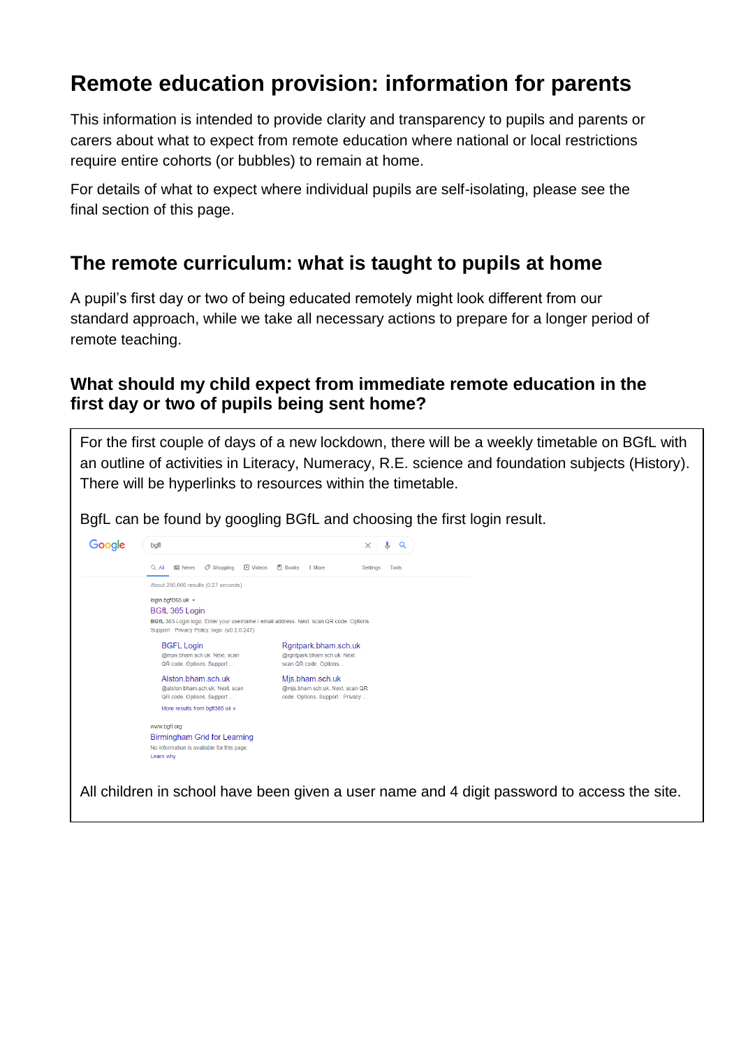# **Remote education provision: information for parents**

This information is intended to provide clarity and transparency to pupils and parents or carers about what to expect from remote education where national or local restrictions require entire cohorts (or bubbles) to remain at home.

For details of what to expect where individual pupils are self-isolating, please see the final section of this page.

## **The remote curriculum: what is taught to pupils at home**

A pupil's first day or two of being educated remotely might look different from our standard approach, while we take all necessary actions to prepare for a longer period of remote teaching.

### **What should my child expect from immediate remote education in the first day or two of pupils being sent home?**

For the first couple of days of a new lockdown, there will be a weekly timetable on BGfL with an outline of activities in Literacy, Numeracy, R.E. science and foundation subjects (History). There will be hyperlinks to resources within the timetable.

BgfL can be found by googling BGfL and choosing the first login result.



All children in school have been given a user name and 4 digit password to access the site.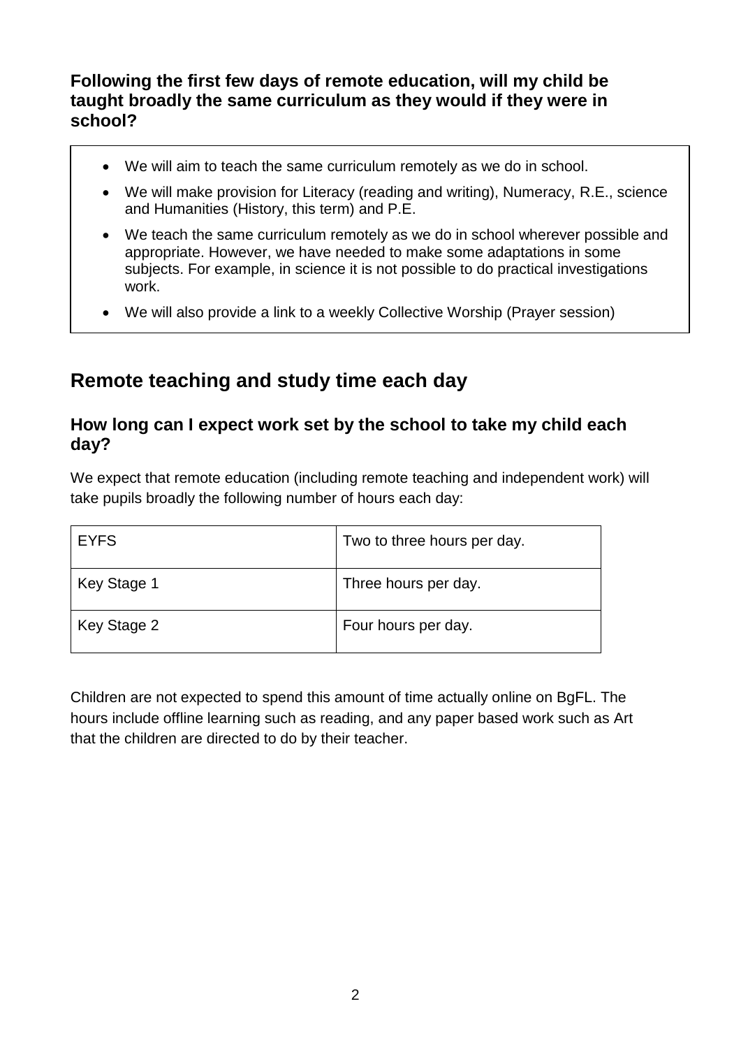### **Following the first few days of remote education, will my child be taught broadly the same curriculum as they would if they were in school?**

- We will aim to teach the same curriculum remotely as we do in school.
- We will make provision for Literacy (reading and writing), Numeracy, R.E., science and Humanities (History, this term) and P.E.
- We teach the same curriculum remotely as we do in school wherever possible and appropriate. However, we have needed to make some adaptations in some subjects. For example, in science it is not possible to do practical investigations work.
- We will also provide a link to a weekly Collective Worship (Prayer session)

## **Remote teaching and study time each day**

### **How long can I expect work set by the school to take my child each day?**

We expect that remote education (including remote teaching and independent work) will take pupils broadly the following number of hours each day:

| <b>EYFS</b> | Two to three hours per day. |
|-------------|-----------------------------|
| Key Stage 1 | Three hours per day.        |
| Key Stage 2 | Four hours per day.         |

Children are not expected to spend this amount of time actually online on BgFL. The hours include offline learning such as reading, and any paper based work such as Art that the children are directed to do by their teacher.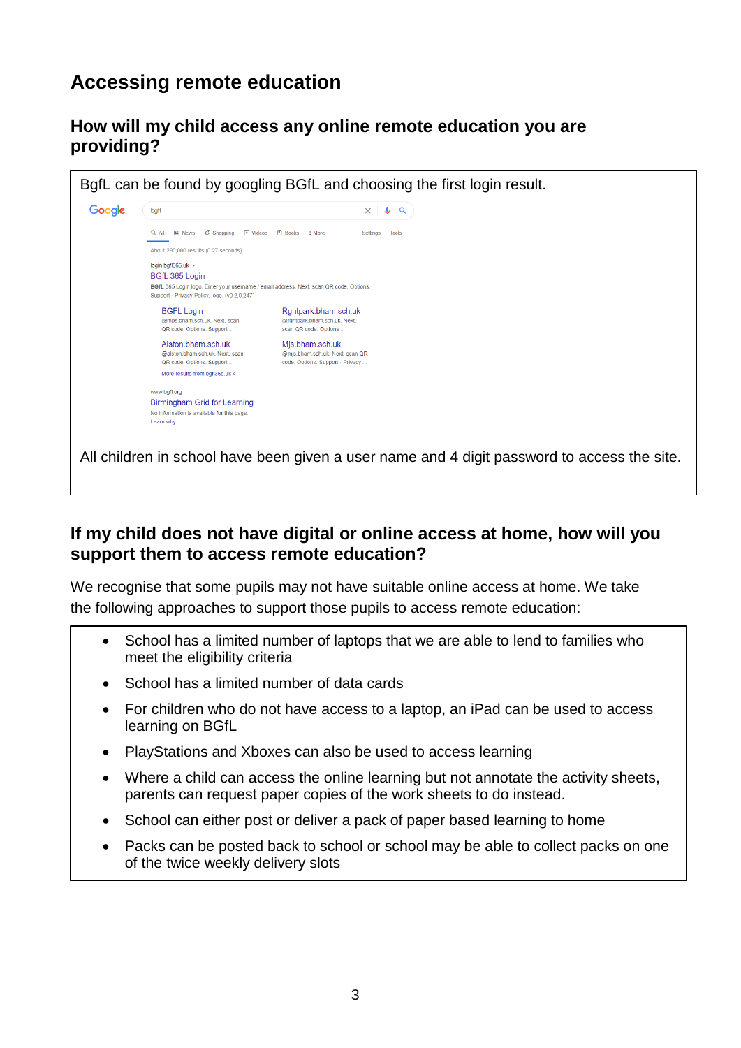## **Accessing remote education**

### **How will my child access any online remote education you are providing?**



### **If my child does not have digital or online access at home, how will you support them to access remote education?**

We recognise that some pupils may not have suitable online access at home. We take the following approaches to support those pupils to access remote education:

- School has a limited number of laptops that we are able to lend to families who meet the eligibility criteria
- School has a limited number of data cards
- For children who do not have access to a laptop, an iPad can be used to access learning on BGfL
- PlayStations and Xboxes can also be used to access learning
- Where a child can access the online learning but not annotate the activity sheets, parents can request paper copies of the work sheets to do instead.
- School can either post or deliver a pack of paper based learning to home
- Packs can be posted back to school or school may be able to collect packs on one of the twice weekly delivery slots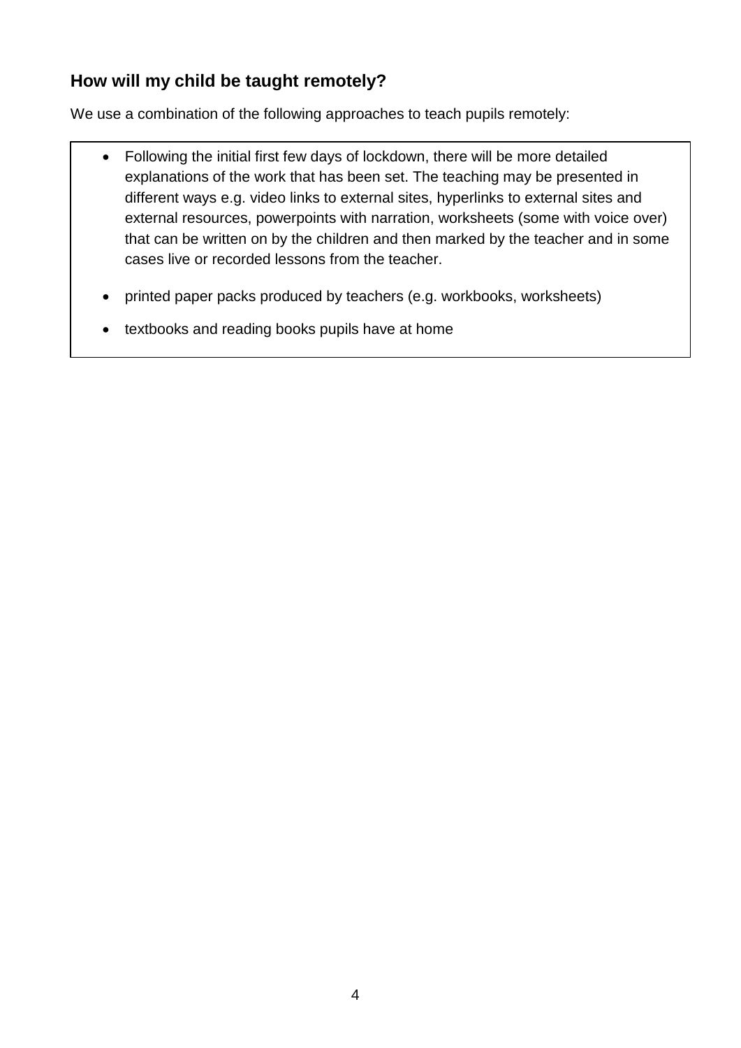## **How will my child be taught remotely?**

We use a combination of the following approaches to teach pupils remotely:

- Following the initial first few days of lockdown, there will be more detailed explanations of the work that has been set. The teaching may be presented in different ways e.g. video links to external sites, hyperlinks to external sites and external resources, powerpoints with narration, worksheets (some with voice over) that can be written on by the children and then marked by the teacher and in some cases live or recorded lessons from the teacher.
- printed paper packs produced by teachers (e.g. workbooks, worksheets)
- textbooks and reading books pupils have at home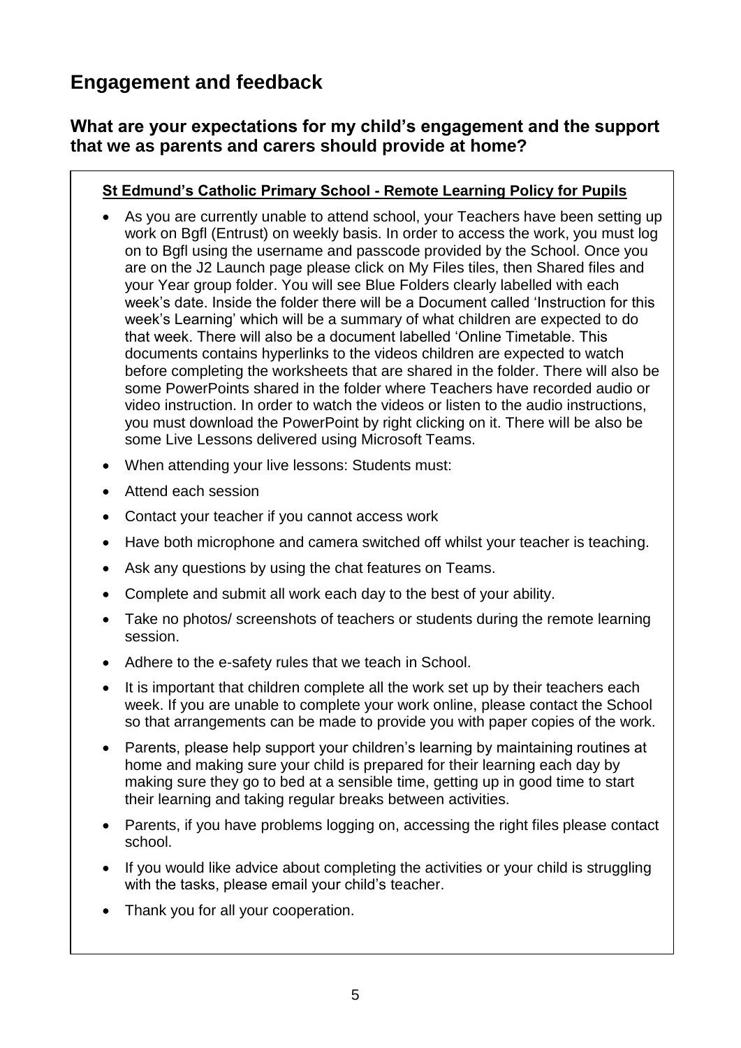## **Engagement and feedback**

### **What are your expectations for my child's engagement and the support that we as parents and carers should provide at home?**

#### **St Edmund's Catholic Primary School - Remote Learning Policy for Pupils**

- As you are currently unable to attend school, your Teachers have been setting up work on Bgfl (Entrust) on weekly basis. In order to access the work, you must log on to Bgfl using the username and passcode provided by the School. Once you are on the J2 Launch page please click on My Files tiles, then Shared files and your Year group folder. You will see Blue Folders clearly labelled with each week's date. Inside the folder there will be a Document called 'Instruction for this week's Learning' which will be a summary of what children are expected to do that week. There will also be a document labelled 'Online Timetable. This documents contains hyperlinks to the videos children are expected to watch before completing the worksheets that are shared in the folder. There will also be some PowerPoints shared in the folder where Teachers have recorded audio or video instruction. In order to watch the videos or listen to the audio instructions, you must download the PowerPoint by right clicking on it. There will be also be some Live Lessons delivered using Microsoft Teams.
- When attending your live lessons: Students must:
- Attend each session
- Contact your teacher if you cannot access work
- Have both microphone and camera switched off whilst your teacher is teaching.
- Ask any questions by using the chat features on Teams.
- Complete and submit all work each day to the best of your ability.
- Take no photos/ screenshots of teachers or students during the remote learning session.
- Adhere to the e-safety rules that we teach in School.
- It is important that children complete all the work set up by their teachers each week. If you are unable to complete your work online, please contact the School so that arrangements can be made to provide you with paper copies of the work.
- Parents, please help support your children's learning by maintaining routines at home and making sure your child is prepared for their learning each day by making sure they go to bed at a sensible time, getting up in good time to start their learning and taking regular breaks between activities.
- Parents, if you have problems logging on, accessing the right files please contact school.
- If you would like advice about completing the activities or your child is struggling with the tasks, please email your child's teacher.
- Thank you for all your cooperation.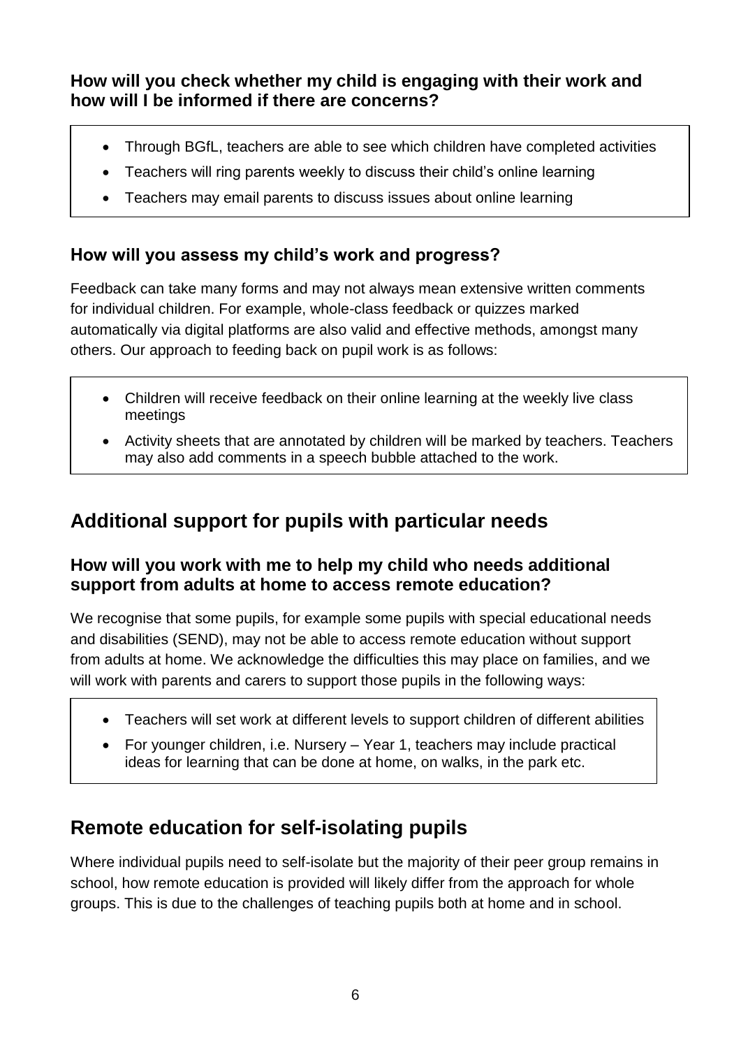**How will you check whether my child is engaging with their work and how will I be informed if there are concerns?**

- Through BGfL, teachers are able to see which children have completed activities
- Teachers will ring parents weekly to discuss their child's online learning
- Teachers may email parents to discuss issues about online learning

## **How will you assess my child's work and progress?**

Feedback can take many forms and may not always mean extensive written comments for individual children. For example, whole-class feedback or quizzes marked automatically via digital platforms are also valid and effective methods, amongst many others. Our approach to feeding back on pupil work is as follows:

- Children will receive feedback on their online learning at the weekly live class meetings
- Activity sheets that are annotated by children will be marked by teachers. Teachers may also add comments in a speech bubble attached to the work.

## **Additional support for pupils with particular needs**

### **How will you work with me to help my child who needs additional support from adults at home to access remote education?**

We recognise that some pupils, for example some pupils with special educational needs and disabilities (SEND), may not be able to access remote education without support from adults at home. We acknowledge the difficulties this may place on families, and we will work with parents and carers to support those pupils in the following ways:

- Teachers will set work at different levels to support children of different abilities
- For younger children, i.e. Nursery Year 1, teachers may include practical ideas for learning that can be done at home, on walks, in the park etc.

## **Remote education for self-isolating pupils**

Where individual pupils need to self-isolate but the majority of their peer group remains in school, how remote education is provided will likely differ from the approach for whole groups. This is due to the challenges of teaching pupils both at home and in school.